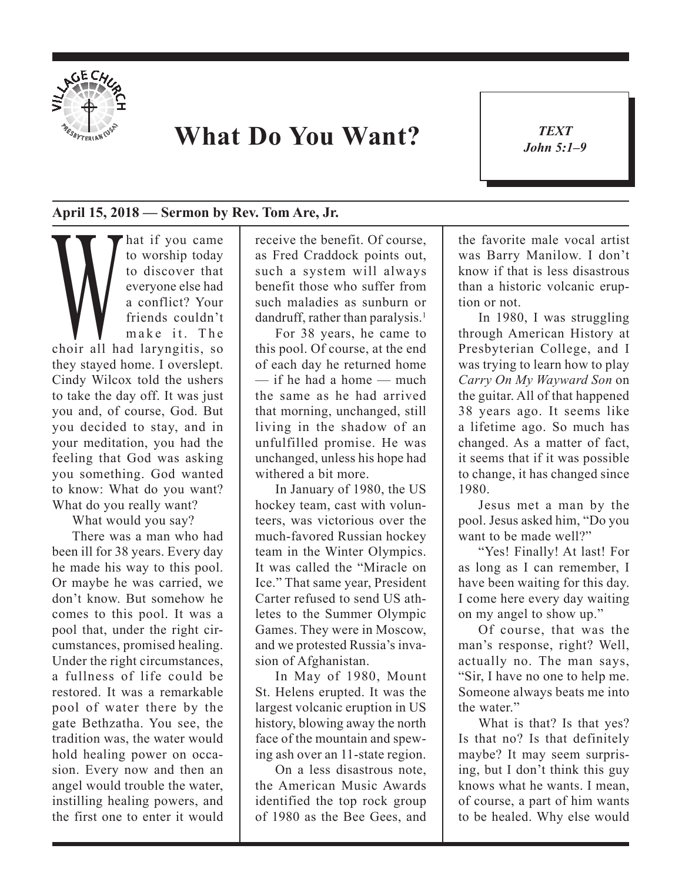

## **What Do You Want?**

*TEXT John 5:1–9* 1

## **April 15, 2018 — Sermon by Rev. Tom Are, Jr.**

and to worship today<br>to discover that<br>everyone else had<br>a conflict? Your<br>friends couldn't<br>make it. The<br>choir all had laryngitis, so to worship today to discover that everyone else had a conflict? Your friends couldn't make it. The they stayed home. I overslept. Cindy Wilcox told the ushers to take the day off. It was just you and, of course, God. But you decided to stay, and in your meditation, you had the feeling that God was asking you something. God wanted to know: What do you want? What do you really want?

What would you say?

There was a man who had been ill for 38 years. Every day he made his way to this pool. Or maybe he was carried, we don't know. But somehow he comes to this pool. It was a pool that, under the right circumstances, promised healing. Under the right circumstances, a fullness of life could be restored. It was a remarkable pool of water there by the gate Bethzatha. You see, the tradition was, the water would hold healing power on occasion. Every now and then an angel would trouble the water, instilling healing powers, and the first one to enter it would

receive the benefit. Of course, as Fred Craddock points out, such a system will always benefit those who suffer from such maladies as sunburn or dandruff, rather than paralysis.<sup>1</sup>

For 38 years, he came to this pool. Of course, at the end of each day he returned home  $=$  if he had a home  $=$  much the same as he had arrived that morning, unchanged, still living in the shadow of an unfulfilled promise. He was unchanged, unless his hope had withered a bit more.

In January of 1980, the US hockey team, cast with volunteers, was victorious over the much-favored Russian hockey team in the Winter Olympics. It was called the "Miracle on Ice." That same year, President Carter refused to send US athletes to the Summer Olympic Games. They were in Moscow, and we protested Russia's invasion of Afghanistan.

In May of 1980, Mount St. Helens erupted. It was the largest volcanic eruption in US history, blowing away the north face of the mountain and spewing ash over an 11-state region.

On a less disastrous note, the American Music Awards identified the top rock group of 1980 as the Bee Gees, and the favorite male vocal artist was Barry Manilow. I don't know if that is less disastrous than a historic volcanic eruption or not.

In 1980, I was struggling through American History at Presbyterian College, and I was trying to learn how to play *Carry On My Wayward Son* on the guitar. All of that happened 38 years ago. It seems like a lifetime ago. So much has changed. As a matter of fact, it seems that if it was possible to change, it has changed since 1980.

Jesus met a man by the pool. Jesus asked him, "Do you want to be made well?"

"Yes! Finally! At last! For as long as I can remember, I have been waiting for this day. I come here every day waiting on my angel to show up."

Of course, that was the man's response, right? Well, actually no. The man says, "Sir, I have no one to help me. Someone always beats me into the water."

What is that? Is that yes? Is that no? Is that definitely maybe? It may seem surprising, but I don't think this guy knows what he wants. I mean, of course, a part of him wants to be healed. Why else would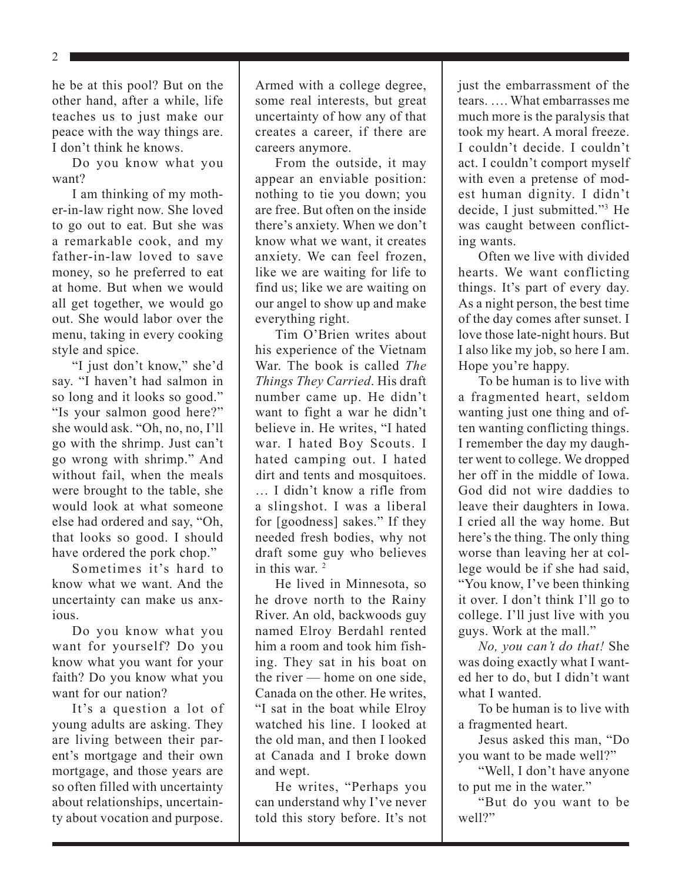2

he be at this pool? But on the other hand, after a while, life teaches us to just make our peace with the way things are. I don't think he knows.

Do you know what you want?

I am thinking of my mother-in-law right now. She loved to go out to eat. But she was a remarkable cook, and my father-in-law loved to save money, so he preferred to eat at home. But when we would all get together, we would go out. She would labor over the menu, taking in every cooking style and spice.

"I just don't know," she'd say. "I haven't had salmon in so long and it looks so good." "Is your salmon good here?" she would ask. "Oh, no, no, I'll go with the shrimp. Just can't go wrong with shrimp." And without fail, when the meals were brought to the table, she would look at what someone else had ordered and say, "Oh, that looks so good. I should have ordered the pork chop."

Sometimes it's hard to know what we want. And the uncertainty can make us anxious.

Do you know what you want for yourself? Do you know what you want for your faith? Do you know what you want for our nation?

It's a question a lot of young adults are asking. They are living between their parent's mortgage and their own mortgage, and those years are so often filled with uncertainty about relationships, uncertainty about vocation and purpose.

Armed with a college degree, some real interests, but great uncertainty of how any of that creates a career, if there are careers anymore.

From the outside, it may appear an enviable position: nothing to tie you down; you are free. But often on the inside there's anxiety. When we don't know what we want, it creates anxiety. We can feel frozen, like we are waiting for life to find us; like we are waiting on our angel to show up and make everything right.

Tim O'Brien writes about his experience of the Vietnam War. The book is called *The Things They Carried*. His draft number came up. He didn't want to fight a war he didn't believe in. He writes, "I hated war. I hated Boy Scouts. I hated camping out. I hated dirt and tents and mosquitoes. … I didn't know a rifle from a slingshot. I was a liberal for [goodness] sakes." If they needed fresh bodies, why not draft some guy who believes in this war<sup>2</sup>

He lived in Minnesota, so he drove north to the Rainy River. An old, backwoods guy named Elroy Berdahl rented him a room and took him fishing. They sat in his boat on the river — home on one side, Canada on the other. He writes, "I sat in the boat while Elroy watched his line. I looked at the old man, and then I looked at Canada and I broke down and wept.

He writes, "Perhaps you can understand why I've never told this story before. It's not just the embarrassment of the tears. …. What embarrasses me much more is the paralysis that took my heart. A moral freeze. I couldn't decide. I couldn't act. I couldn't comport myself with even a pretense of modest human dignity. I didn't decide, I just submitted."3 He was caught between conflicting wants.

Often we live with divided hearts. We want conflicting things. It's part of every day. As a night person, the best time of the day comes after sunset. I love those late-night hours. But I also like my job, so here I am. Hope you're happy.

To be human is to live with a fragmented heart, seldom wanting just one thing and often wanting conflicting things. I remember the day my daughter went to college. We dropped her off in the middle of Iowa. God did not wire daddies to leave their daughters in Iowa. I cried all the way home. But here's the thing. The only thing worse than leaving her at college would be if she had said, "You know, I've been thinking it over. I don't think I'll go to college. I'll just live with you guys. Work at the mall."

*No, you can't do that!* She was doing exactly what I wanted her to do, but I didn't want what I wanted.

To be human is to live with a fragmented heart.

Jesus asked this man, "Do you want to be made well?"

"Well, I don't have anyone to put me in the water."

"But do you want to be well?"